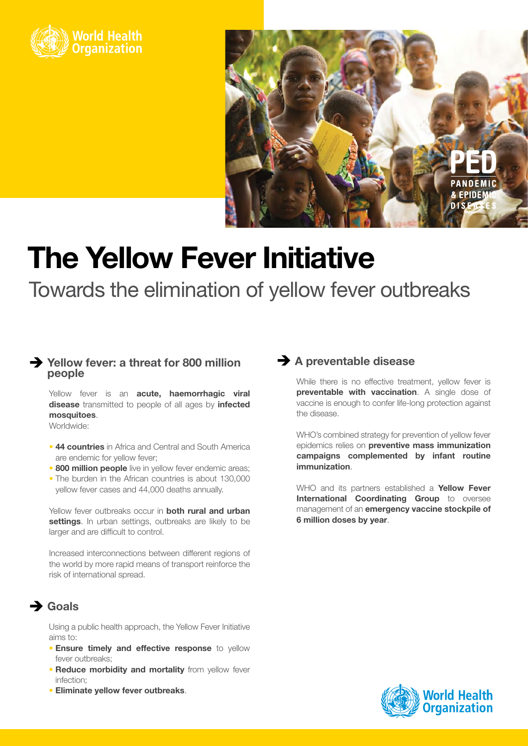



# **The Yellow Fever Initiative**

Towards the elimination of yellow fever outbreaks

#### è **Yellow fever: a threat for 800 million people**

Yellow fever is an **acute, haemorrhagic viral disease** transmitted to people of all ages by **infected mosquitoes**.

Worldwide:

- **44 countries** in Africa and Central and South America are endemic for yellow fever;
- **800 million people** live in yellow fever endemic areas;
- The burden in the African countries is about 130,000 yellow fever cases and 44,000 deaths annually.

Yellow fever outbreaks occur in **both rural and urban settings**. In urban settings, outbreaks are likely to be larger and are difficult to control.

Increased interconnections between different regions of the world by more rapid means of transport reinforce the risk of international spread.

### $\rightarrow$  Goals

Using a public health approach, the Yellow Fever Initiative aims to:

- **Ensure timely and effective response** to yellow fever outbreaks;
- **Reduce morbidity and mortality** from yellow fever infection;
- **Eliminate yellow fever outbreaks**.

#### $\rightarrow$  **A preventable disease**

While there is no effective treatment, yellow fever is **preventable with vaccination**. A single dose of vaccine is enough to confer life-long protection against the disease.

WHO's combined strategy for prevention of yellow fever epidemics relies on **preventive mass immunization campaigns complemented by infant routine immunization**.

WHO and its partners established a **Yellow Fever International Coordinating Group** to oversee management of an **emergency vaccine stockpile of 6 million doses by year**.